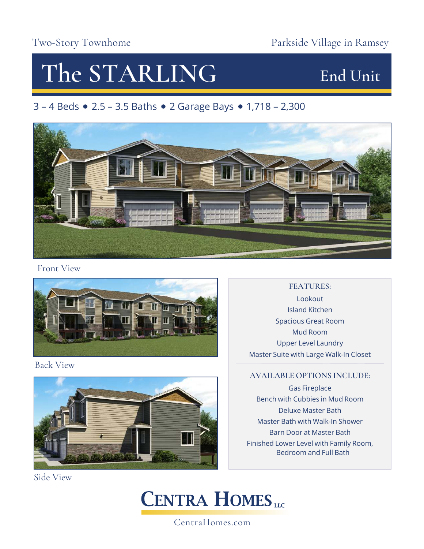### Parkside Village in Ramsey

**End Unit**

# **The STARLING**

### $3 - 4$  Beds  $\bullet$  2.5 – 3.5 Baths  $\bullet$  2 Garage Bays  $\bullet$  1,718 – 2,300



Front View



Back View



#### **FEATURES:**

Lookout Island Kitchen Spacious Great Room Mud Room Upper Level Laundry Master Suite with Large Walk-In Closet

#### **AVAILABLE OPTIONS INCLUDE:**

Gas Fireplace Bench with Cubbies in Mud Room Deluxe Master Bath Master Bath with Walk-In Shower Barn Door at Master Bath Finished Lower Level with Family Room, Bedroom and Full Bath

Side View



CentraHomes.com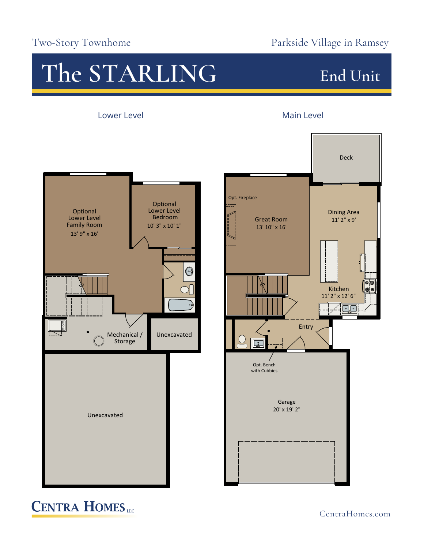# **The STARLING**

**End Unit**



CENTRA HOMES LLC

CentraHomes.com

## Parkside Village in Ramsey